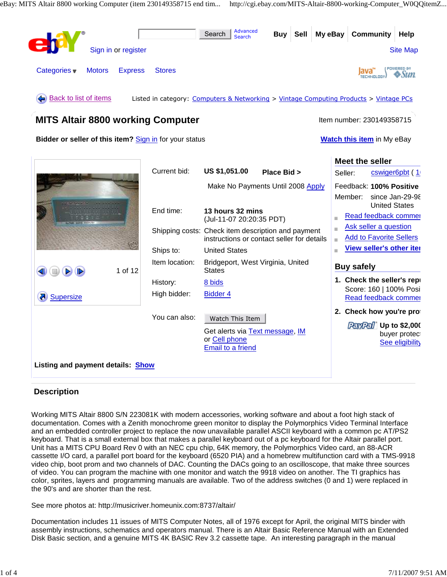

### **Description**

Working MITS Altair 8800 S/N 223081K with modern accessories, working software and about a foot high stack of documentation. Comes with a Zenith monochrome green monitor to display the Polymorphics Video Terminal Interface and an embedded controller project to replace the now unavailable parallel ASCII keyboard with a common pc AT/PS2 keyboard. That is a small external box that makes a parallel keyboard out of a pc keyboard for the Altair parallel port. Unit has a MITS CPU Board Rev 0 with an NEC cpu chip, 64K memory, the Polymorphics Video card, an 88-ACR cassette I/O card, a parallel port board for the keyboard (6520 PIA) and a homebrew multifunction card with a TMS-9918 video chip, boot prom and two channels of DAC. Counting the DACs going to an oscilloscope, that make three sources of video. You can program the machine with one monitor and watch the 9918 video on another. The TI graphics has color, sprites, layers and programming manuals are available. Two of the address switches (0 and 1) were replaced in the 90's and are shorter than the rest.

See more photos at: http://musicriver.homeunix.com:8737/altair/

Documentation includes 11 issues of MITS Computer Notes, all of 1976 except for April, the original MITS binder with assembly instructions, schematics and operators manual. There is an Altair Basic Reference Manual with an Extended Disk Basic section, and a genuine MITS 4K BASIC Rev 3.2 cassette tape. An interesting paragraph in the manual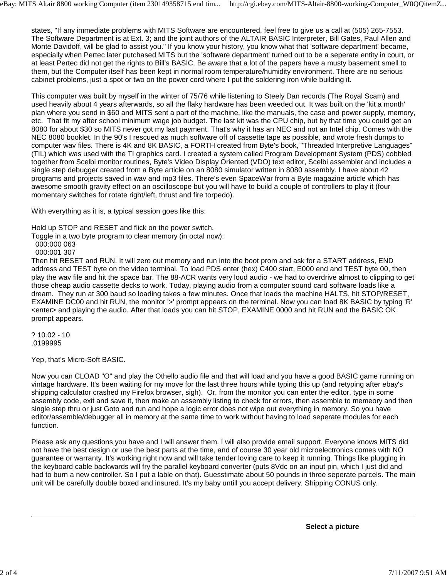states, "If any immediate problems with MITS Software are encountered, feel free to give us a call at (505) 265-7553. The Software Department is at Ext. 3; and the joint authors of the ALTAIR BASIC Interpreter, Bill Gates, Paul Allen and Monte Davidoff, will be glad to assist you." If you know your history, you know what that 'software department' became, especially when Pertec later putchased MITS but the 'software department' turned out to be a seperate entity in court, or at least Pertec did not get the rights to Bill's BASIC. Be aware that a lot of the papers have a musty basement smell to them, but the Computer itself has been kept in normal room temperature/humidity environment. There are no serious cabinet problems, just a spot or two on the power cord where I put the soldering iron while building it.

This computer was built by myself in the winter of 75/76 while listening to Steely Dan records (The Royal Scam) and used heavily about 4 years afterwards, so all the flaky hardware has been weeded out. It was built on the 'kit a month' plan where you send in \$60 and MITS sent a part of the machine, like the manuals, the case and power supply, memory, etc. That fit my after school minimum wage job budget. The last kit was the CPU chip, but by that time you could get an 8080 for about \$30 so MITS never got my last payment. That's why it has an NEC and not an Intel chip. Comes with the NEC 8080 booklet. In the 90's I rescued as much software off of cassette tape as possible, and wrote fresh dumps to computer wav files. There is 4K and 8K BASIC, a FORTH created from Byte's book, "Threaded Interpretive Languages" (TIL) which was used with the TI graphics card. I created a system called Program Development System (PDS) cobbled together from Scelbi monitor routines, Byte's Video Display Oriented (VDO) text editor, Scelbi assembler and includes a single step debugger created from a Byte article on an 8080 simulator written in 8080 assembly. I have about 42 programs and projects saved in wav and mp3 files. There's even SpaceWar from a Byte magazine article which has awesome smooth gravity effect on an oscilloscope but you will have to build a couple of controllers to play it (four momentary switches for rotate right/left, thrust and fire torpedo).

With everything as it is, a typical session goes like this:

Hold up STOP and RESET and flick on the power switch.

Toggle in a two byte program to clear memory (in octal now):

 000:000 063 000:001 307

Then hit RESET and RUN. It will zero out memory and run into the boot prom and ask for a START address, END address and TEST byte on the video terminal. To load PDS enter (hex) C400 start, E000 end and TEST byte 00, then play the wav file and hit the space bar. The 88-ACR wants very loud audio - we had to overdrive almost to clipping to get those cheap audio cassette decks to work. Today, playing audio from a computer sound card software loads like a dream. They run at 300 baud so loading takes a few minutes. Once that loads the machine HALTS, hit STOP/RESET, EXAMINE DC00 and hit RUN, the monitor '>' prompt appears on the terminal. Now you can load 8K BASIC by typing 'R' <enter> and playing the audio. After that loads you can hit STOP, EXAMINE 0000 and hit RUN and the BASIC OK prompt appears.

? 10.02 - 10 .0199995

Yep, that's Micro-Soft BASIC.

Now you can CLOAD "O" and play the Othello audio file and that will load and you have a good BASIC game running on vintage hardware. It's been waiting for my move for the last three hours while typing this up (and retyping after ebay's shipping calculator crashed my Firefox browser, sigh). Or, from the monitor you can enter the editor, type in some assembly code, exit and save it, then make an assembly listing to check for errors, then assemble to memeory and then single step thru or just Goto and run and hope a logic error does not wipe out everything in memory. So you have editor/assemble/debugger all in memory at the same time to work without having to load seperate modules for each function.

Please ask any questions you have and I will answer them. I will also provide email support. Everyone knows MITS did not have the best design or use the best parts at the time, and of course 30 year old microelectronics comes with NO guarantee or warranty. It's working right now and will take tender loving care to keep it running. Things like plugging in the keyboard cable backwards will fry the parallel keyboard converter (puts 8Vdc on an input pin, which I just did and had to burn a new controller. So I put a lable on that). Guesstimate about 50 pounds in three seperate parcels. The main unit will be carefully double boxed and insured. It's my baby untill you accept delivery. Shipping CONUS only.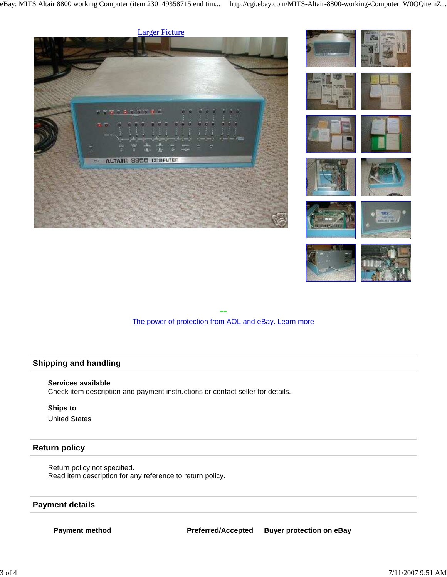



-- The power of protection from AOL and eBay. Learn more

# **Shipping and handling**

#### **Services available**

Check item description and payment instructions or contact seller for details.

## **Ships to**

United States

### **Return policy**

Return policy not specified. Read item description for any reference to return policy.

## **Payment details**